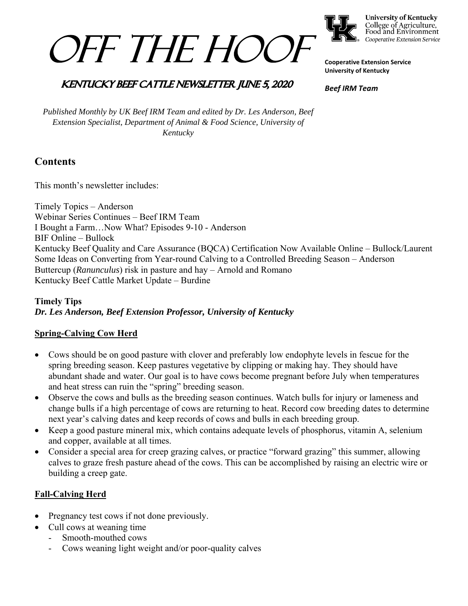



**University of Kentucky** College of Agriculture,<br>Food and Environment Cooperative Extension Service

**Cooperative Extension Service University of Kentucky** 

### **KENTUCKY BEEF CATTLE NEWSLETTER JUNE 5, 2020**

*Beef IRM Team* 

*Published Monthly by UK Beef IRM Team and edited by Dr. Les Anderson, Beef Extension Specialist, Department of Animal & Food Science, University of Kentucky* 

## **Contents**

This month's newsletter includes:

Timely Topics – Anderson Webinar Series Continues – Beef IRM Team I Bought a Farm…Now What? Episodes 9-10 - Anderson BIF Online – Bullock Kentucky Beef Quality and Care Assurance (BQCA) Certification Now Available Online – Bullock/Laurent Some Ideas on Converting from Year-round Calving to a Controlled Breeding Season – Anderson Buttercup (*Ranunculus*) risk in pasture and hay – Arnold and Romano Kentucky Beef Cattle Market Update – Burdine

#### **Timely Tips** *Dr. Les Anderson, Beef Extension Professor, University of Kentucky*

#### **Spring-Calving Cow Herd**

- Cows should be on good pasture with clover and preferably low endophyte levels in fescue for the spring breeding season. Keep pastures vegetative by clipping or making hay. They should have abundant shade and water. Our goal is to have cows become pregnant before July when temperatures and heat stress can ruin the "spring" breeding season.
- Observe the cows and bulls as the breeding season continues. Watch bulls for injury or lameness and change bulls if a high percentage of cows are returning to heat. Record cow breeding dates to determine next year's calving dates and keep records of cows and bulls in each breeding group.
- Keep a good pasture mineral mix, which contains adequate levels of phosphorus, vitamin A, selenium and copper, available at all times.
- Consider a special area for creep grazing calves, or practice "forward grazing" this summer, allowing calves to graze fresh pasture ahead of the cows. This can be accomplished by raising an electric wire or building a creep gate.

#### **Fall-Calving Herd**

- Pregnancy test cows if not done previously.
- Cull cows at weaning time
	- Smooth-mouthed cows
	- Cows weaning light weight and/or poor-quality calves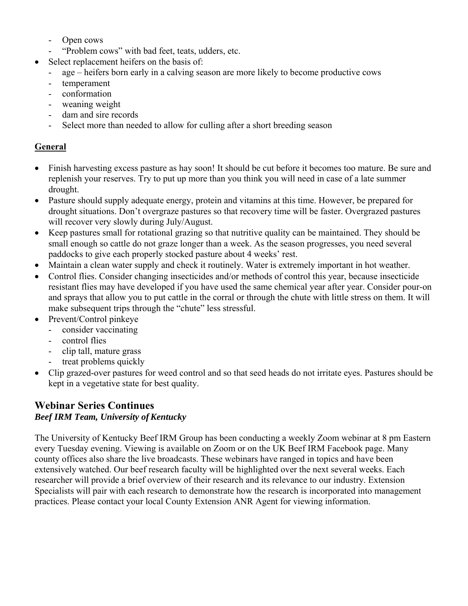- Open cows
- "Problem cows" with bad feet, teats, udders, etc.
- Select replacement heifers on the basis of:
	- age heifers born early in a calving season are more likely to become productive cows
	- temperament
	- conformation
	- weaning weight
	- dam and sire records
	- Select more than needed to allow for culling after a short breeding season

#### **General**

- Finish harvesting excess pasture as hay soon! It should be cut before it becomes too mature. Be sure and replenish your reserves. Try to put up more than you think you will need in case of a late summer drought.
- Pasture should supply adequate energy, protein and vitamins at this time. However, be prepared for drought situations. Don't overgraze pastures so that recovery time will be faster. Overgrazed pastures will recover very slowly during July/August.
- Keep pastures small for rotational grazing so that nutritive quality can be maintained. They should be small enough so cattle do not graze longer than a week. As the season progresses, you need several paddocks to give each properly stocked pasture about 4 weeks' rest.
- Maintain a clean water supply and check it routinely. Water is extremely important in hot weather.
- Control flies. Consider changing insecticides and/or methods of control this year, because insecticide resistant flies may have developed if you have used the same chemical year after year. Consider pour-on and sprays that allow you to put cattle in the corral or through the chute with little stress on them. It will make subsequent trips through the "chute" less stressful.
- Prevent/Control pinkeye
	- consider vaccinating
	- control flies
	- clip tall, mature grass
	- treat problems quickly
- Clip grazed-over pastures for weed control and so that seed heads do not irritate eyes. Pastures should be kept in a vegetative state for best quality.

# **Webinar Series Continues**

#### *Beef IRM Team, University of Kentucky*

The University of Kentucky Beef IRM Group has been conducting a weekly Zoom webinar at 8 pm Eastern every Tuesday evening. Viewing is available on Zoom or on the UK Beef IRM Facebook page. Many county offices also share the live broadcasts. These webinars have ranged in topics and have been extensively watched. Our beef research faculty will be highlighted over the next several weeks. Each researcher will provide a brief overview of their research and its relevance to our industry. Extension Specialists will pair with each research to demonstrate how the research is incorporated into management practices. Please contact your local County Extension ANR Agent for viewing information.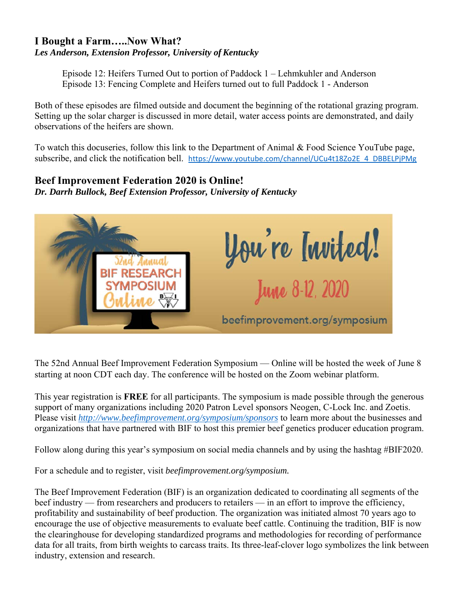#### **I Bought a Farm…..Now What?** *Les Anderson, Extension Professor, University of Kentucky*

 Episode 12: Heifers Turned Out to portion of Paddock 1 – Lehmkuhler and Anderson Episode 13: Fencing Complete and Heifers turned out to full Paddock 1 - Anderson

Both of these episodes are filmed outside and document the beginning of the rotational grazing program. Setting up the solar charger is discussed in more detail, water access points are demonstrated, and daily observations of the heifers are shown.

To watch this docuseries, follow this link to the Department of Animal & Food Science YouTube page, subscribe, and click the notification bell. https://www.youtube.com/channel/UCu4t18Zo2E\_4\_DBBELPjPMg

#### **Beef Improvement Federation 2020 is Online!**

*Dr. Darrh Bullock, Beef Extension Professor, University of Kentucky* 



The 52nd Annual Beef Improvement Federation Symposium — Online will be hosted the week of June 8 starting at noon CDT each day. The conference will be hosted on the Zoom webinar platform.

This year registration is **FREE** for all participants. The symposium is made possible through the generous support of many organizations including 2020 Patron Level sponsors Neogen, C-Lock Inc. and Zoetis. Please visit *http://www.beefimprovement.org/symposium/sponsors* to learn more about the businesses and organizations that have partnered with BIF to host this premier beef genetics producer education program.

Follow along during this year's symposium on social media channels and by using the hashtag #BIF2020.

For a schedule and to register, visit *beefimprovement.org/symposium.* 

The Beef Improvement Federation (BIF) is an organization dedicated to coordinating all segments of the beef industry — from researchers and producers to retailers — in an effort to improve the efficiency, profitability and sustainability of beef production. The organization was initiated almost 70 years ago to encourage the use of objective measurements to evaluate beef cattle. Continuing the tradition, BIF is now the clearinghouse for developing standardized programs and methodologies for recording of performance data for all traits, from birth weights to carcass traits. Its three-leaf-clover logo symbolizes the link between industry, extension and research.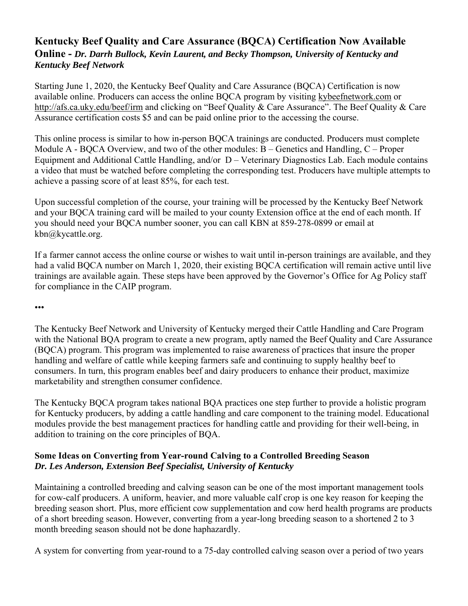#### **Kentucky Beef Quality and Care Assurance (BQCA) Certification Now Available Online -** *Dr. Darrh Bullock, Kevin Laurent, and Becky Thompson, University of Kentucky and Kentucky Beef Network*

Starting June 1, 2020, the Kentucky Beef Quality and Care Assurance (BQCA) Certification is now available online. Producers can access the online BQCA program by visiting kybeefnetwork.com or http://afs.ca.uky.edu/beef/irm and clicking on "Beef Quality & Care Assurance". The Beef Quality & Care Assurance certification costs \$5 and can be paid online prior to the accessing the course.

This online process is similar to how in-person BQCA trainings are conducted. Producers must complete Module A - BQCA Overview, and two of the other modules: B – Genetics and Handling, C – Proper Equipment and Additional Cattle Handling, and/or D – Veterinary Diagnostics Lab. Each module contains a video that must be watched before completing the corresponding test. Producers have multiple attempts to achieve a passing score of at least 85%, for each test.

Upon successful completion of the course, your training will be processed by the Kentucky Beef Network and your BQCA training card will be mailed to your county Extension office at the end of each month. If you should need your BQCA number sooner, you can call KBN at 859-278-0899 or email at kbn@kycattle.org.

If a farmer cannot access the online course or wishes to wait until in-person trainings are available, and they had a valid BQCA number on March 1, 2020, their existing BQCA certification will remain active until live trainings are available again. These steps have been approved by the Governor's Office for Ag Policy staff for compliance in the CAIP program.

•••

The Kentucky Beef Network and University of Kentucky merged their Cattle Handling and Care Program with the National BQA program to create a new program, aptly named the Beef Quality and Care Assurance (BQCA) program. This program was implemented to raise awareness of practices that insure the proper handling and welfare of cattle while keeping farmers safe and continuing to supply healthy beef to consumers. In turn, this program enables beef and dairy producers to enhance their product, maximize marketability and strengthen consumer confidence.

The Kentucky BQCA program takes national BQA practices one step further to provide a holistic program for Kentucky producers, by adding a cattle handling and care component to the training model. Educational modules provide the best management practices for handling cattle and providing for their well-being, in addition to training on the core principles of BQA.

#### **Some Ideas on Converting from Year-round Calving to a Controlled Breeding Season** *Dr. Les Anderson, Extension Beef Specialist, University of Kentucky*

Maintaining a controlled breeding and calving season can be one of the most important management tools for cow-calf producers. A uniform, heavier, and more valuable calf crop is one key reason for keeping the breeding season short. Plus, more efficient cow supplementation and cow herd health programs are products of a short breeding season. However, converting from a year-long breeding season to a shortened 2 to 3 month breeding season should not be done haphazardly.

A system for converting from year-round to a 75-day controlled calving season over a period of two years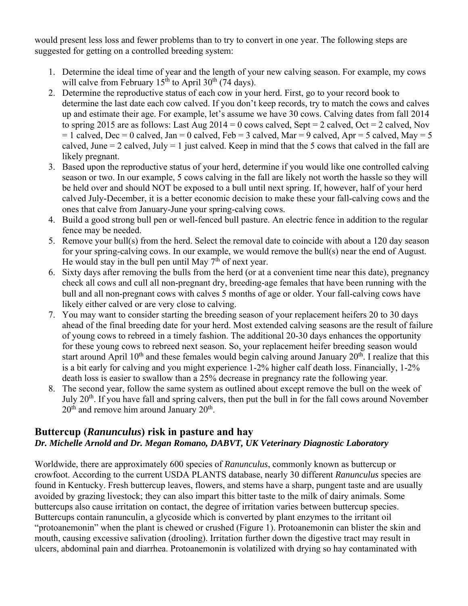would present less loss and fewer problems than to try to convert in one year. The following steps are suggested for getting on a controlled breeding system:

- 1. Determine the ideal time of year and the length of your new calving season. For example, my cows will calve from February  $15<sup>th</sup>$  to April 30<sup>th</sup> (74 days).
- 2. Determine the reproductive status of each cow in your herd. First, go to your record book to determine the last date each cow calved. If you don't keep records, try to match the cows and calves up and estimate their age. For example, let's assume we have 30 cows. Calving dates from fall 2014 to spring 2015 are as follows: Last Aug  $2014 = 0$  cows calved, Sept = 2 calved, Oct = 2 calved, Nov  $= 1$  calved, Dec  $= 0$  calved, Jan  $= 0$  calved, Feb  $= 3$  calved, Mar  $= 9$  calved, Apr  $= 5$  calved, May  $= 5$ calved, June  $= 2$  calved, July  $= 1$  just calved. Keep in mind that the 5 cows that calved in the fall are likely pregnant.
- 3. Based upon the reproductive status of your herd, determine if you would like one controlled calving season or two. In our example, 5 cows calving in the fall are likely not worth the hassle so they will be held over and should NOT be exposed to a bull until next spring. If, however, half of your herd calved July-December, it is a better economic decision to make these your fall-calving cows and the ones that calve from January-June your spring-calving cows.
- 4. Build a good strong bull pen or well-fenced bull pasture. An electric fence in addition to the regular fence may be needed.
- 5. Remove your bull(s) from the herd. Select the removal date to coincide with about a 120 day season for your spring-calving cows. In our example, we would remove the bull(s) near the end of August. He would stay in the bull pen until May  $7<sup>th</sup>$  of next year.
- 6. Sixty days after removing the bulls from the herd (or at a convenient time near this date), pregnancy check all cows and cull all non-pregnant dry, breeding-age females that have been running with the bull and all non-pregnant cows with calves 5 months of age or older. Your fall-calving cows have likely either calved or are very close to calving.
- 7. You may want to consider starting the breeding season of your replacement heifers 20 to 30 days ahead of the final breeding date for your herd. Most extended calving seasons are the result of failure of young cows to rebreed in a timely fashion. The additional 20-30 days enhances the opportunity for these young cows to rebreed next season. So, your replacement heifer breeding season would start around April 10<sup>th</sup> and these females would begin calving around January 20<sup>th</sup>. I realize that this is a bit early for calving and you might experience 1-2% higher calf death loss. Financially, 1-2% death loss is easier to swallow than a 25% decrease in pregnancy rate the following year.
- 8. The second year, follow the same system as outlined about except remove the bull on the week of July  $20<sup>th</sup>$ . If you have fall and spring calvers, then put the bull in for the fall cows around November  $20<sup>th</sup>$  and remove him around January  $20<sup>th</sup>$ .

#### **Buttercup (***Ranunculus***) risk in pasture and hay**  *Dr. Michelle Arnold and Dr. Megan Romano, DABVT, UK Veterinary Diagnostic Laboratory*

Worldwide, there are approximately 600 species of *Ranunculus*, commonly known as buttercup or crowfoot. According to the current USDA PLANTS database, nearly 30 different *Ranunculus* species are found in Kentucky. Fresh buttercup leaves, flowers, and stems have a sharp, pungent taste and are usually avoided by grazing livestock; they can also impart this bitter taste to the milk of dairy animals. Some buttercups also cause irritation on contact, the degree of irritation varies between buttercup species. Buttercups contain ranunculin, a glycoside which is converted by plant enzymes to the irritant oil "protoanemonin" when the plant is chewed or crushed (Figure 1). Protoanemonin can blister the skin and mouth, causing excessive salivation (drooling). Irritation further down the digestive tract may result in ulcers, abdominal pain and diarrhea. Protoanemonin is volatilized with drying so hay contaminated with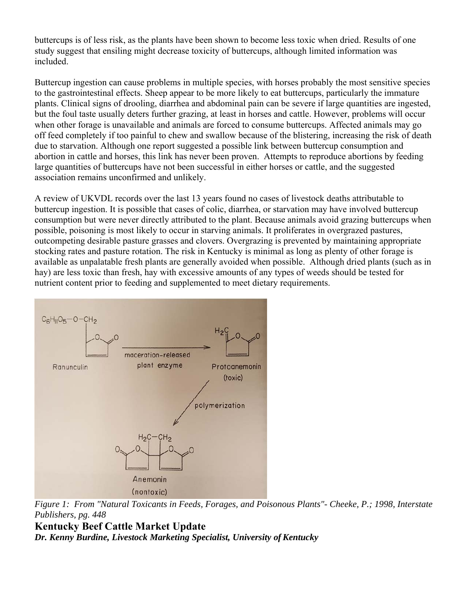buttercups is of less risk, as the plants have been shown to become less toxic when dried. Results of one study suggest that ensiling might decrease toxicity of buttercups, although limited information was included.

Buttercup ingestion can cause problems in multiple species, with horses probably the most sensitive species to the gastrointestinal effects. Sheep appear to be more likely to eat buttercups, particularly the immature plants. Clinical signs of drooling, diarrhea and abdominal pain can be severe if large quantities are ingested, but the foul taste usually deters further grazing, at least in horses and cattle. However, problems will occur when other forage is unavailable and animals are forced to consume buttercups. Affected animals may go off feed completely if too painful to chew and swallow because of the blistering, increasing the risk of death due to starvation. Although one report suggested a possible link between buttercup consumption and abortion in cattle and horses, this link has never been proven. Attempts to reproduce abortions by feeding large quantities of buttercups have not been successful in either horses or cattle, and the suggested association remains unconfirmed and unlikely.

A review of UKVDL records over the last 13 years found no cases of livestock deaths attributable to buttercup ingestion. It is possible that cases of colic, diarrhea, or starvation may have involved buttercup consumption but were never directly attributed to the plant. Because animals avoid grazing buttercups when possible, poisoning is most likely to occur in starving animals. It proliferates in overgrazed pastures, outcompeting desirable pasture grasses and clovers. Overgrazing is prevented by maintaining appropriate stocking rates and pasture rotation. The risk in Kentucky is minimal as long as plenty of other forage is available as unpalatable fresh plants are generally avoided when possible. Although dried plants (such as in hay) are less toxic than fresh, hay with excessive amounts of any types of weeds should be tested for nutrient content prior to feeding and supplemented to meet dietary requirements.



*Figure 1: From "Natural Toxicants in Feeds, Forages, and Poisonous Plants"- Cheeke, P.; 1998, Interstate Publishers, pg. 448* 

**Kentucky Beef Cattle Market Update** *Dr. Kenny Burdine, Livestock Marketing Specialist, University of Kentucky*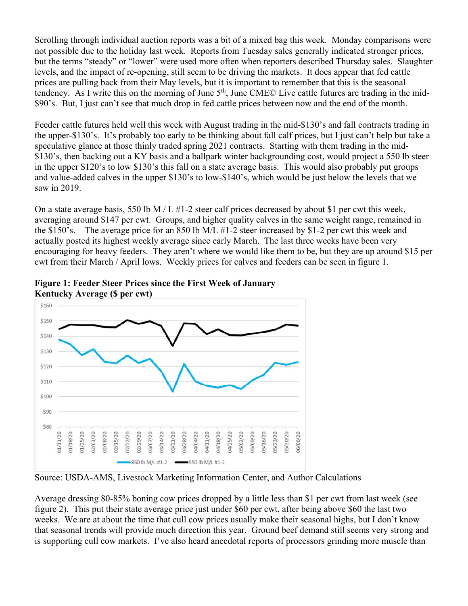Scrolling through individual auction reports was a bit of a mixed bag this week. Monday comparisons were not possible due to the holiday last week. Reports from Tuesday sales generally indicated stronger prices, but the terms "steady" or "lower" were used more often when reporters described Thursday sales. Slaughter levels, and the impact of re-opening, still seem to be driving the markets. It does appear that fed cattle prices are pulling back from their May levels, but it is important to remember that this is the seasonal tendency. As I write this on the morning of June 5<sup>th</sup>, June CME© Live cattle futures are trading in the mid-\$90's. But, I just can't see that much drop in fed cattle prices between now and the end of the month.

Feeder cattle futures held well this week with August trading in the mid-\$130's and fall contracts trading in the upper-\$130's. It's probably too early to be thinking about fall calf prices, but I just can't help but take a speculative glance at those thinly traded spring 2021 contracts. Starting with them trading in the mid- \$130's, then backing out a KY basis and a ballpark winter backgrounding cost, would project a 550 lb steer in the upper \$120's to low \$130's this fall on a state average basis. This would also probably put groups and value-added calves in the upper \$130's to low-\$140's, which would be just below the levels that we saw in 2019.

On a state average basis, 550 lb M  $/L$  #1-2 steer calf prices decreased by about \$1 per cwt this week, averaging around \$147 per cwt. Groups, and higher quality calves in the same weight range, remained in the \$150's. The average price for an 850 lb M/L #1-2 steer increased by \$1-2 per cwt this week and actually posted its highest weekly average since early March. The last three weeks have been very encouraging for heavy feeders. They aren't where we would like them to be, but they are up around \$15 per cwt from their March / April lows. Weekly prices for calves and feeders can be seen in figure 1.



**Figure 1: Feeder Steer Prices since the First Week of January Kentucky Average (\$ per cwt)** 

Source: USDA-AMS, Livestock Marketing Information Center, and Author Calculations

Average dressing 80-85% boning cow prices dropped by a little less than \$1 per cwt from last week (see figure 2). This put their state average price just under \$60 per cwt, after being above \$60 the last two weeks. We are at about the time that cull cow prices usually make their seasonal highs, but I don't know that seasonal trends will provide much direction this year. Ground beef demand still seems very strong and is supporting cull cow markets. I've also heard anecdotal reports of processors grinding more muscle than